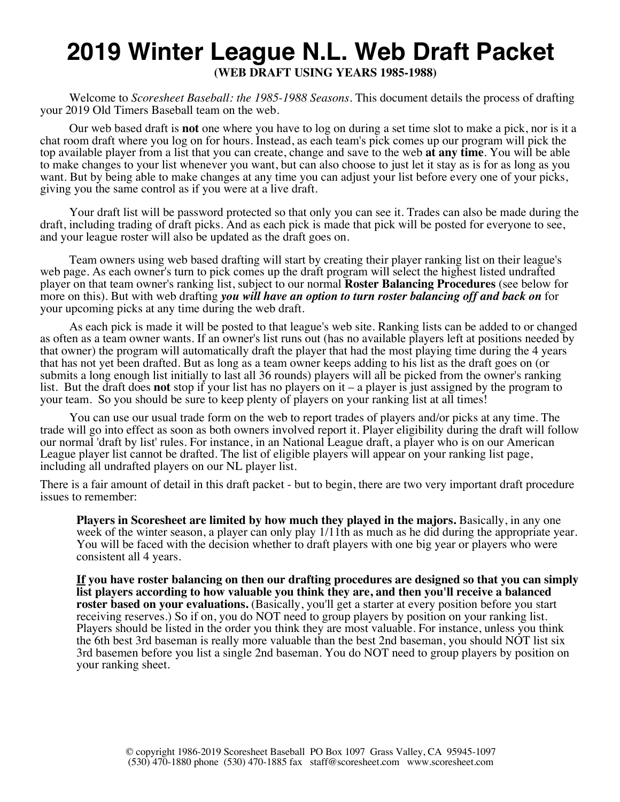### **2019 Winter League N.L. Web Draft Packet (WEB DRAFT USING YEARS 1985-1988)**

Welcome to *Scoresheet Baseball: the 1985-1988 Seasons*. This document details the process of drafting your 2019 Old Timers Baseball team on the web.

Our web based draft is **not** one where you have to log on during a set time slot to make a pick, nor is it a chat room draft where you log on for hours. Instead, as each team's pick comes up our program will pick the top available player from a list that you can create, change and save to the web **at any time**. You will be able to make changes to your list whenever you want, but can also choose to just let it stay as is for as long as you want. But by being able to make changes at any time you can adjust your list before every one of your picks, giving you the same control as if you were at a live draft.

Your draft list will be password protected so that only you can see it. Trades can also be made during the draft, including trading of draft picks. And as each pick is made that pick will be posted for everyone to see, and your league roster will also be updated as the draft goes on.

Team owners using web based drafting will start by creating their player ranking list on their league's web page. As each owner's turn to pick comes up the draft program will select the highest listed undrafted player on that team owner's ranking list, subject to our normal **Roster Balancing Procedures** (see below for more on this). But with web drafting *you will have an option to turn roster balancing off and back on* for your upcoming picks at any time during the web draft.

As each pick is made it will be posted to that league's web site. Ranking lists can be added to or changed as often as a team owner wants. If an owner's list runs out (has no available players left at positions needed by that owner) the program will automatically draft the player that had the most playing time during the 4 years that has not yet been drafted. But as long as a team owner keeps adding to his list as the draft goes on (or submits a long enough list initially to last all 36 rounds) players will all be picked from the owner's ranking list. But the draft does **not** stop if your list has no players on it – a player is just assigned by the program to your team. So you should be sure to keep plenty of players on your ranking list at all times!

You can use our usual trade form on the web to report trades of players and/or picks at any time. The trade will go into effect as soon as both owners involved report it. Player eligibility during the draft will follow our normal 'draft by list' rules. For instance, in an National League draft, a player who is on our American League player list cannot be drafted. The list of eligible players will appear on your ranking list page, including all undrafted players on our NL player list.

There is a fair amount of detail in this draft packet - but to begin, there are two very important draft procedure issues to remember:

**Players in Scoresheet are limited by how much they played in the majors.** Basically, in any one week of the winter season, a player can only play  $1/11$ th as much as he did during the appropriate year. You will be faced with the decision whether to draft players with one big year or players who were consistent all 4 years.

**If you have roster balancing on then our drafting procedures are designed so that you can simply list players according to how valuable you think they are, and then you'll receive a balanced roster based on your evaluations.** (Basically, you'll get a starter at every position before you start receiving reserves.) So if on, you do NOT need to group players by position on your ranking list. Players should be listed in the order you think they are most valuable. For instance, unless you think the 6th best 3rd baseman is really more valuable than the best 2nd baseman, you should NOT list six 3rd basemen before you list a single 2nd baseman. You do NOT need to group players by position on your ranking sheet.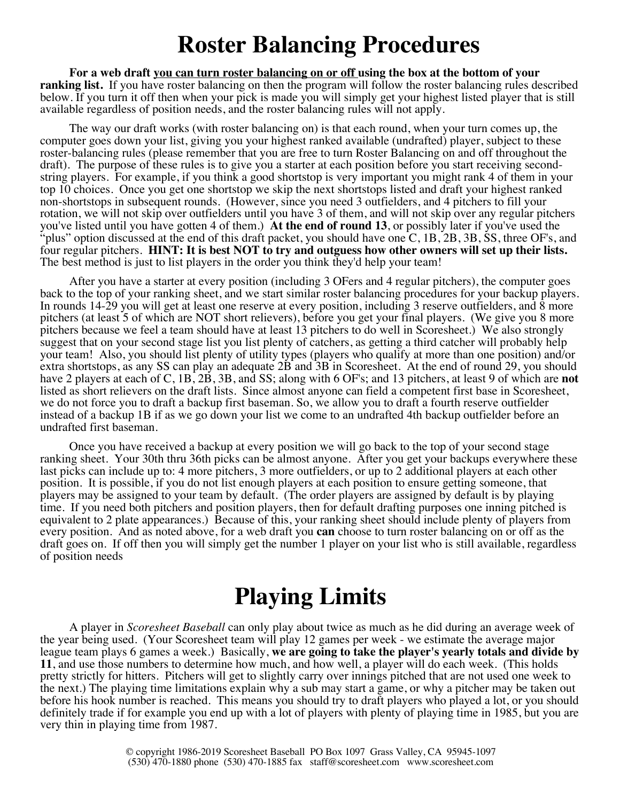## **Roster Balancing Procedures**

**For a web draft you can turn roster balancing on or off using the box at the bottom of your ranking list.** If you have roster balancing on then the program will follow the roster balancing rules described below. If you turn it off then when your pick is made you will simply get your highest listed player that is still available regardless of position needs, and the roster balancing rules will not apply.

The way our draft works (with roster balancing on) is that each round, when your turn comes up, the computer goes down your list, giving you your highest ranked available (undrafted) player, subject to these roster-balancing rules (please remember that you are free to turn Roster Balancing on and off throughout the draft). The purpose of these rules is to give you a starter at each position before you start receiving secondstring players. For example, if you think a good shortstop is very important you might rank 4 of them in your top 10 choices. Once you get one shortstop we skip the next shortstops listed and draft your highest ranked non-shortstops in subsequent rounds. (However, since you need 3 outfielders, and 4 pitchers to fill your rotation, we will not skip over outfielders until you have 3 of them, and will not skip over any regular pitchers you've listed until you have gotten 4 of them.) **At the end of round 13**, or possibly later if you've used the "plus" option discussed at the end of this draft packet, you should have one  $\overline{C}$ , 1B, 2B, 3B, SS, three OF's, and four regular pitchers. **HINT: It is best NOT to try and outguess how other owners will set up their lists.** The best method is just to list players in the order you think they'd help your team!

After you have a starter at every position (including 3 OFers and 4 regular pitchers), the computer goes back to the top of your ranking sheet, and we start similar roster balancing procedures for your backup players. In rounds 14-29 you will get at least one reserve at every position, including 3 reserve outfielders, and 8 more pitchers (at least 5 of which are NOT short relievers), before you get your final players. (We give you 8 more pitchers because we feel a team should have at least 13 pitchers to do well in Scoresheet.) We also strongly suggest that on your second stage list you list plenty of catchers, as getting a third catcher will probably help your team! Also, you should list plenty of utility types (players who qualify at more than one position) and/or extra shortstops, as any SS can play an adequate 2B and 3B in Scoresheet. At the end of round 29, you should have 2 players at each of C, 1B, 2B, 3B, and SS; along with 6 OF's; and 13 pitchers, at least 9 of which are **not** listed as short relievers on the draft lists. Since almost anyone can field a competent first base in Scoresheet, we do not force you to draft a backup first baseman. So, we allow you to draft a fourth reserve outfielder instead of a backup 1B if as we go down your list we come to an undrafted 4th backup outfielder before an undrafted first baseman.

Once you have received a backup at every position we will go back to the top of your second stage ranking sheet. Your 30th thru 36th picks can be almost anyone. After you get your backups everywhere these last picks can include up to: 4 more pitchers, 3 more outfielders, or up to 2 additional players at each other position. It is possible, if you do not list enough players at each position to ensure getting someone, that players may be assigned to your team by default. (The order players are assigned by default is by playing time. If you need both pitchers and position players, then for default drafting purposes one inning pitched is equivalent to 2 plate appearances.) Because of this, your ranking sheet should include plenty of players from every position. And as noted above, for a web draft you **can** choose to turn roster balancing on or off as the draft goes on. If off then you will simply get the number 1 player on your list who is still available, regardless of position needs

## **Playing Limits**

A player in *Scoresheet Baseball* can only play about twice as much as he did during an average week of the year being used. (Your Scoresheet team will play 12 games per week - we estimate the average major league team plays 6 games a week.) Basically, **we are going to take the player's yearly totals and divide by 11**, and use those numbers to determine how much, and how well, a player will do each week. (This holds pretty strictly for hitters. Pitchers will get to slightly carry over innings pitched that are not used one week to the next.) The playing time limitations explain why a sub may start a game, or why a pitcher may be taken out before his hook number is reached. This means you should try to draft players who played a lot, or you should definitely trade if for example you end up with a lot of players with plenty of playing time in 1985, but you are very thin in playing time from 1987.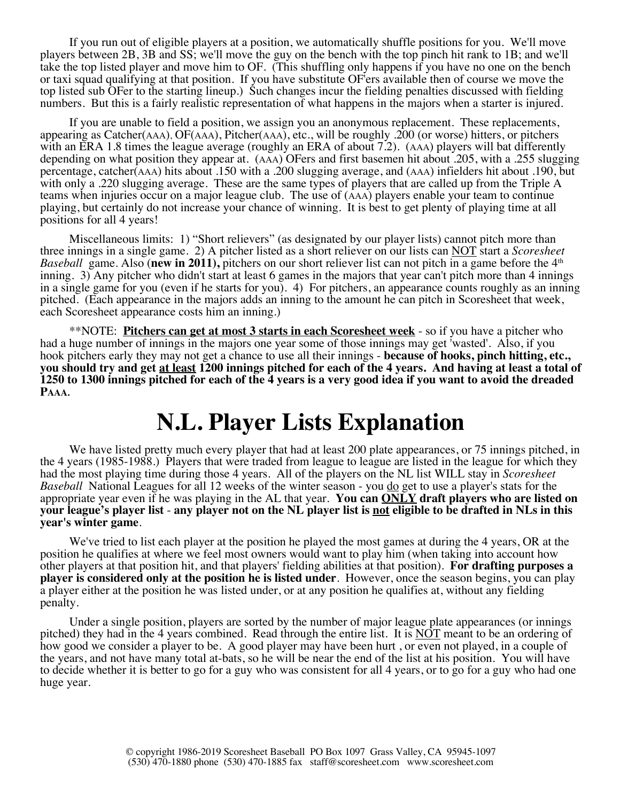If you run out of eligible players at a position, we automatically shuffle positions for you. We'll move players between 2B, 3B and SS; we'll move the guy on the bench with the top pinch hit rank to 1B; and we'll take the top listed player and move him to OF. (This shuffling only happens if you have no one on the bench or taxi squad qualifying at that position. If you have substitute OF'ers available then of course we move the top listed sub OFer to the starting lineup.) Such changes incur the fielding penalties discussed with fielding numbers. But this is a fairly realistic representation of what happens in the majors when a starter is injured.

If you are unable to field a position, we assign you an anonymous replacement. These replacements, appearing as Catcher(AAA), OF(AAA), Pitcher(AAA), etc., will be roughly .200 (or worse) hitters, or pitchers with an ERA 1.8 times the league average (roughly an ERA of about 7.2). (AAA) players will bat differently depending on what position they appear at. (AAA) OFers and first basemen hit about .205, with a .255 slugging percentage, catcher(AAA) hits about .150 with a .200 slugging average, and (AAA) infielders hit about .190, but with only a .220 slugging average. These are the same types of players that are called up from the Triple A teams when injuries occur on a major league club. The use of (AAA) players enable your team to continue playing, but certainly do not increase your chance of winning. It is best to get plenty of playing time at all positions for all 4 years!

Miscellaneous limits: 1) "Short relievers" (as designated by our player lists) cannot pitch more than three innings in a single game. 2) A pitcher listed as a short reliever on our lists can NOT start a *Scoresheet Baseball* game. Also (**new in 2011**), pitchers on our short reliever list can not pitch in a game before the 4<sup>th</sup> inning. 3) Any pitcher who didn't start at least 6 games in the majors that year can't pitch more than 4 innings in a single game for you (even if he starts for you). 4) For pitchers, an appearance counts roughly as an inning pitched. (Each appearance in the majors adds an inning to the amount he can pitch in Scoresheet that week, each Scoresheet appearance costs him an inning.)

\*\*NOTE: **Pitchers can get at most 3 starts in each Scoresheet week** - so if you have a pitcher who had a huge number of innings in the majors one year some of those innings may get 'wasted'. Also, if you hook pitchers early they may not get a chance to use all their innings - **because of hooks, pinch hitting, etc., you should try and get at least 1200 innings pitched for each of the 4 years. And having at least a total of 1250 to 1300 innings pitched for each of the 4 years is a very good idea if you want to avoid the dreaded PAAA.**

## **N.L. Player Lists Explanation**

We have listed pretty much every player that had at least 200 plate appearances, or 75 innings pitched, in the 4 years (1985-1988.) Players that were traded from league to league are listed in the league for which they had the most playing time during those 4 years. All of the players on the NL list WILL stay in *Scoresheet Baseball* National Leagues for all 12 weeks of the winter season - you do get to use a player's stats for the appropriate year even if he was playing in the AL that year. **You can ONLY draft players who are listed on your league's player list** - **any player not on the NL player list is not eligible to be drafted in NLs in this year's winter game**.

We've tried to list each player at the position he played the most games at during the 4 years, OR at the position he qualifies at where we feel most owners would want to play him (when taking into account how other players at that position hit, and that players' fielding abilities at that position). **For drafting purposes a player is considered only at the position he is listed under**. However, once the season begins, you can play a player either at the position he was listed under, or at any position he qualifies at, without any fielding penalty.

Under a single position, players are sorted by the number of major league plate appearances (or innings pitched) they had in the 4 years combined. Read through the entire list. It is NOT meant to be an ordering of how good we consider a player to be. A good player may have been hurt , or even not played, in a couple of the years, and not have many total at-bats, so he will be near the end of the list at his position. You will have to decide whether it is better to go for a guy who was consistent for all 4 years, or to go for a guy who had one huge year.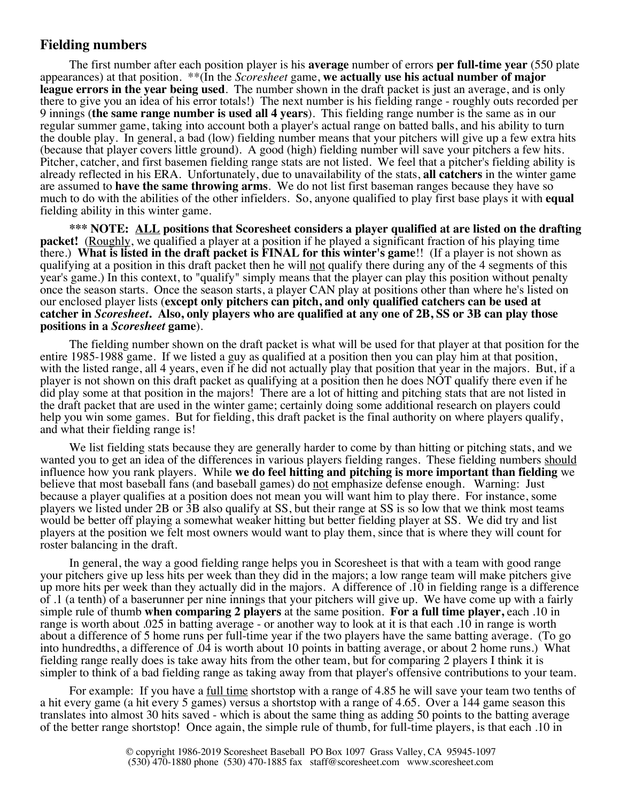### **Fielding numbers**

The first number after each position player is his **average** number of errors **per full-time year** (550 plate appearances) at that position. \*\*(In the *Scoresheet* game, **we actually use his actual number of major league errors in the year being used**. The number shown in the draft packet is just an average, and is only there to give you an idea of his error totals!) The next number is his fielding range - roughly outs recorded per 9 innings (**the same range number is used all 4 years**). This fielding range number is the same as in our regular summer game, taking into account both a player's actual range on batted balls, and his ability to turn the double play. In general, a bad (low) fielding number means that your pitchers will give up a few extra hits (because that player covers little ground). A good (high) fielding number will save your pitchers a few hits. Pitcher, catcher, and first basemen fielding range stats are not listed. We feel that a pitcher's fielding ability is already reflected in his ERA. Unfortunately, due to unavailability of the stats, **all catchers** in the winter game are assumed to **have the same throwing arms**. We do not list first baseman ranges because they have so much to do with the abilities of the other infielders. So, anyone qualified to play first base plays it with **equal** fielding ability in this winter game.

**\*\*\* NOTE: ALL positions that Scoresheet considers a player qualified at are listed on the drafting packet!** (Roughly, we qualified a player at a position if he played a significant fraction of his playing time there.) **What is listed in the draft packet is FINAL for this winter's game**!! (If a player is not shown as qualifying at a position in this draft packet then he will not qualify there during any of the 4 segments of this year's game.) In this context, to "qualify" simply means that the player can play this position without penalty once the season starts. Once the season starts, a player CAN play at positions other than where he's listed on our enclosed player lists (**except only pitchers can pitch, and only qualified catchers can be used at catcher in** *Scoresheet***. Also, only players who are qualified at any one of 2B, SS or 3B can play those positions in a** *Scoresheet* **game**).

The fielding number shown on the draft packet is what will be used for that player at that position for the entire 1985-1988 game. If we listed a guy as qualified at a position then you can play him at that position, with the listed range, all 4 years, even if he did not actually play that position that year in the majors. But, if a player is not shown on this draft packet as qualifying at a position then he does NOT qualify there even if he did play some at that position in the majors! There are a lot of hitting and pitching stats that are not listed in the draft packet that are used in the winter game; certainly doing some additional research on players could help you win some games. But for fielding, this draft packet is the final authority on where players qualify, and what their fielding range is!

We list fielding stats because they are generally harder to come by than hitting or pitching stats, and we wanted you to get an idea of the differences in various players fielding ranges. These fielding numbers should influence how you rank players. While **we do feel hitting and pitching is more important than fielding** we believe that most baseball fans (and baseball games) do not emphasize defense enough. Warning: Just because a player qualifies at a position does not mean you will want him to play there. For instance, some players we listed under 2B or 3B also qualify at SS, but their range at SS is so low that we think most teams would be better off playing a somewhat weaker hitting but better fielding player at SS. We did try and list players at the position we felt most owners would want to play them, since that is where they will count for roster balancing in the draft.

In general, the way a good fielding range helps you in Scoresheet is that with a team with good range your pitchers give up less hits per week than they did in the majors; a low range team will make pitchers give up more hits per week than they actually did in the majors. A difference of .10 in fielding range is a difference of .1 (a tenth) of a baserunner per nine innings that your pitchers will give up. We have come up with a fairly simple rule of thumb **when comparing 2 players** at the same position. **For a full time player,** each .10 in range is worth about .025 in batting average - or another way to look at it is that each .10 in range is worth about a difference of 5 home runs per full-time year if the two players have the same batting average. (To go into hundredths, a difference of .04 is worth about 10 points in batting average, or about 2 home runs.) What fielding range really does is take away hits from the other team, but for comparing 2 players I think it is simpler to think of a bad fielding range as taking away from that player's offensive contributions to your team.

For example: If you have a <u>full time</u> shortstop with a range of 4.85 he will save your team two tenths of a hit every game (a hit every 5 games) versus a shortstop with a range of 4.65. Over a 144 game season this translates into almost 30 hits saved - which is about the same thing as adding 50 points to the batting average of the better range shortstop! Once again, the simple rule of thumb, for full-time players, is that each .10 in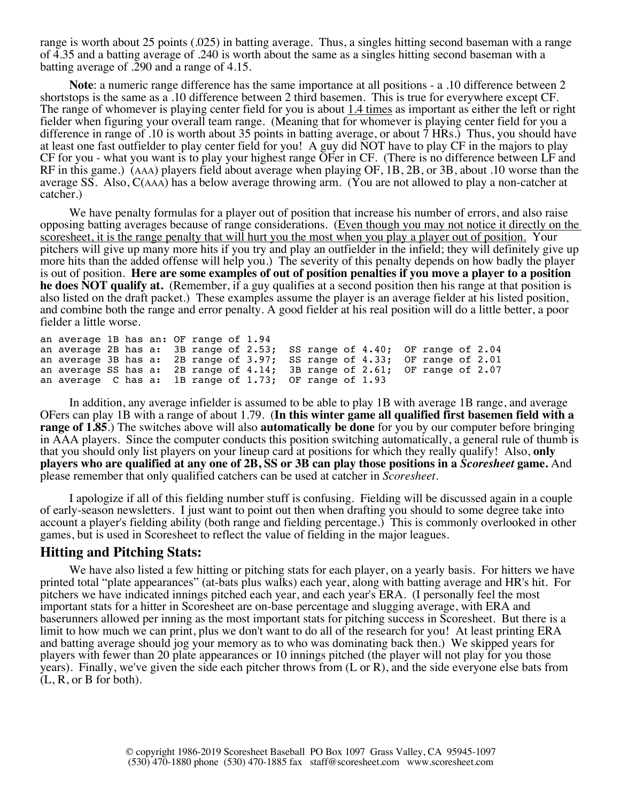range is worth about 25 points (.025) in batting average. Thus, a singles hitting second baseman with a range of 4.35 and a batting average of .240 is worth about the same as a singles hitting second baseman with a batting average of .290 and a range of 4.15.

**Note**: a numeric range difference has the same importance at all positions - a .10 difference between 2 shortstops is the same as a .10 difference between 2 third basemen. This is true for everywhere except CF. The range of whomever is playing center field for you is about 1.4 times as important as either the left or right fielder when figuring your overall team range. (Meaning that for whomever is playing center field for you a difference in range of .10 is worth about 35 points in batting average, or about 7 HRs.) Thus, you should have at least one fast outfielder to play center field for you! A guy did NOT have to play CF in the majors to play CF for you - what you want is to play your highest range OFer in CF. (There is no difference between LF and RF in this game.) (AAA) players field about average when playing OF, 1B, 2B, or 3B, about .10 worse than the average SS. Also, C(AAA) has a below average throwing arm. (You are not allowed to play a non-catcher at catcher.)

We have penalty formulas for a player out of position that increase his number of errors, and also raise opposing batting averages because of range considerations. (Even though you may not notice it directly on the scoresheet, it is the range penalty that will hurt you the most when you play a player out of position. Your pitchers will give up many more hits if you try and play an outfielder in the infield; they will definitely give up more hits than the added offense will help you.) The severity of this penalty depends on how badly the player is out of position. **Here are some examples of out of position penalties if you move a player to a position he does NOT qualify at.** (Remember, if a guy qualifies at a second position then his range at that position is also listed on the draft packet.) These examples assume the player is an average fielder at his listed position, and combine both the range and error penalty. A good fielder at his real position will do a little better, a poor fielder a little worse.

```
an average 1B has an: OF range of 1.94
an average 2B has a: 3B range of 2.53; SS range of 4.40; OF range of 2.04 an average 3B has a: 2B range of 3.97; SS range of 4.33; OF range of 2.01an average 3B has a: 2B range of 3.97; SS range of 4.33; OF range of 2.01 an average SS has a: 2B range of 4.14; 3B range of 2.61; OF range of 2.07an average SS has a: 2B range of 4.14; 3B range of 2.61; OF range of 2.07an average C has a: 1B range of 1.73; OF range of 1.93
```
In addition, any average infielder is assumed to be able to play 1B with average 1B range, and average OFers can play 1B with a range of about 1.79. (**In this winter game all qualified first basemen field with a range of 1.85**.) The switches above will also **automatically be done** for you by our computer before bringing in AAA players. Since the computer conducts this position switching automatically, a general rule of thumb is that you should only list players on your lineup card at positions for which they really qualify! Also, **only players who are qualified at any one of 2B, SS or 3B can play those positions in a** *Scoresheet* **game.** And please remember that only qualified catchers can be used at catcher in *Scoresheet*.

I apologize if all of this fielding number stuff is confusing. Fielding will be discussed again in a couple of early-season newsletters. I just want to point out then when drafting you should to some degree take into account a player's fielding ability (both range and fielding percentage.) This is commonly overlooked in other games, but is used in Scoresheet to reflect the value of fielding in the major leagues.

#### **Hitting and Pitching Stats:**

We have also listed a few hitting or pitching stats for each player, on a yearly basis. For hitters we have printed total "plate appearances" (at-bats plus walks) each year, along with batting average and HR's hit. For pitchers we have indicated innings pitched each year, and each year's ERA. (I personally feel the most important stats for a hitter in Scoresheet are on-base percentage and slugging average, with ERA and baserunners allowed per inning as the most important stats for pitching success in Scoresheet. But there is a limit to how much we can print, plus we don't want to do all of the research for you! At least printing ERA and batting average should jog your memory as to who was dominating back then.) We skipped years for players with fewer than 20 plate appearances or 10 innings pitched (the player will not play for you those years). Finally, we've given the side each pitcher throws from (L or R), and the side everyone else bats from (L, R, or B for both).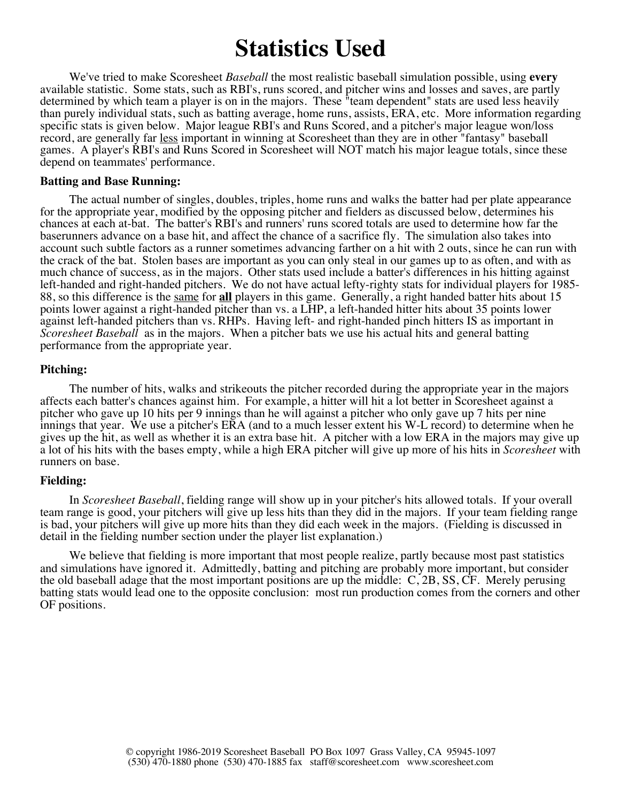## **Statistics Used**

We've tried to make Scoresheet *Baseball* the most realistic baseball simulation possible, using **every** available statistic. Some stats, such as RBI's, runs scored, and pitcher wins and losses and saves, are partly determined by which team a player is on in the majors. These "team dependent" stats are used less heavily than purely individual stats, such as batting average, home runs, assists, ERA, etc. More information regarding specific stats is given below. Major league RBI's and Runs Scored, and a pitcher's major league won/loss record, are generally far less important in winning at Scoresheet than they are in other "fantasy" baseball games. A player's RBI's and Runs Scored in Scoresheet will NOT match his major league totals, since these depend on teammates' performance.

#### **Batting and Base Running:**

The actual number of singles, doubles, triples, home runs and walks the batter had per plate appearance for the appropriate year, modified by the opposing pitcher and fielders as discussed below, determines his chances at each at-bat. The batter's RBI's and runners' runs scored totals are used to determine how far the baserunners advance on a base hit, and affect the chance of a sacrifice fly. The simulation also takes into account such subtle factors as a runner sometimes advancing farther on a hit with 2 outs, since he can run with the crack of the bat. Stolen bases are important as you can only steal in our games up to as often, and with as much chance of success, as in the majors. Other stats used include a batter's differences in his hitting against<br>left-handed and right-handed pitchers. We do not have actual lefty-righty stats for individual players for 19 88, so this difference is the same for all players in this game. Generally, a right handed batter hits about 15 points lower against a right-handed pitcher than vs. a LHP, a left-handed hitter hits about 35 points lower against left-handed pitchers than vs. RHPs. Having left- and right-handed pinch hitters IS as important in *Scoresheet Baseball* as in the majors. When a pitcher bats we use his actual hits and general batting performance from the appropriate year.

#### **Pitching:**

The number of hits, walks and strikeouts the pitcher recorded during the appropriate year in the majors affects each batter's chances against him. For example, a hitter will hit a lot better in Scoresheet against a pitcher who gave up 10 hits per 9 innings than he will against a pitcher who only gave up 7 hits per nine innings that year. We use a pitcher's ERA (and to a much lesser extent his W-L record) to determine when he gives up the hit, as well as whether it is an extra base hit. A pitcher with a low ERA in the majors may give up a lot of his hits with the bases empty, while a high ERA pitcher will give up more of his hits in *Scoresheet* with runners on base.

#### **Fielding:**

In *Scoresheet Baseball*, fielding range will show up in your pitcher's hits allowed totals. If your overall team range is good, your pitchers will give up less hits than they did in the majors. If your team fielding range is bad, your pitchers will give up more hits than they did each week in the majors. (Fielding is discussed in detail in the fielding number section under the player list explanation.)

We believe that fielding is more important that most people realize, partly because most past statistics and simulations have ignored it. Admittedly, batting and pitching are probably more important, but consider the old baseball adage that the most important positions are up the middle: C, 2B, SS, CF. Merely perusing batting stats would lead one to the opposite conclusion: most run production comes from the corners and other OF positions.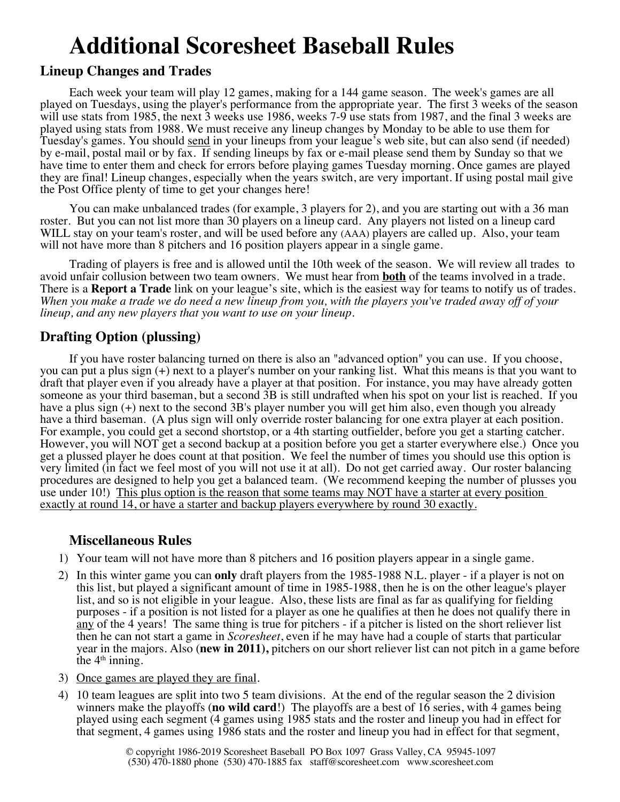# **Additional Scoresheet Baseball Rules**

### **Lineup Changes and Trades**

Each week your team will play 12 games, making for a 144 game season. The week's games are all played on Tuesdays, using the player's performance from the appropriate year. The first 3 weeks of the season will use stats from 1985, the next 3 weeks use 1986, weeks 7-9 use stats from 1987, and the final 3 weeks are played using stats from 1988. We must receive any lineup changes by Monday to be able to use them for Tuesday's games. You should send in your lineups from your league's web site, but can also send (if needed) by e-mail, postal mail or by fax. If sending lineups by fax or e-mail please send them by Sunday so that we have time to enter them and check for errors before playing games Tuesday morning. Once games are played they are final! Lineup changes, especially when the years switch, are very important. If using postal mail give the Post Office plenty of time to get your changes here!

You can make unbalanced trades (for example, 3 players for 2), and you are starting out with a 36 man roster. But you can not list more than 30 players on a lineup card. Any players not listed on a lineup card WILL stay on your team's roster, and will be used before any (AAA) players are called up. Also, your team will not have more than 8 pitchers and 16 position players appear in a single game.

Trading of players is free and is allowed until the 10th week of the season. We will review all trades to avoid unfair collusion between two team owners. We must hear from **both** of the teams involved in a trade. There is a **Report a Trade** link on your league's site, which is the easiest way for teams to notify us of trades. *When you make a trade we do need a new lineup from you, with the players you've traded away off of your lineup, and any new players that you want to use on your lineup.*

### **Drafting Option (plussing)**

If you have roster balancing turned on there is also an "advanced option" you can use. If you choose, you can put a plus sign (+) next to a player's number on your ranking list. What this means is that you want to draft that player even if you already have a player at that position. For instance, you may have already gotten someone as your third baseman, but a second 3B is still undrafted when his spot on your list is reached. If you have a plus sign (+) next to the second 3B's player number you will get him also, even though you already have a third baseman. (A plus sign will only override roster balancing for one extra player at each position. For example, you could get a second shortstop, or a 4th starting outfielder, before you get a starting catcher. However, you will NOT get a second backup at a position before you get a starter everywhere else.) Once you get a plussed player he does count at that position. We feel the number of times you should use this option is very limited (in fact we feel most of you will not use it at all). Do not get carried away. Our roster balancing procedures are designed to help you get a balanced team. (We recommend keeping the number of plusses you use under 10!) This plus option is the reason that some teams may NOT have a starter at every position exactly at round 14, or have a starter and backup players everywhere by round 30 exactly.

### **Miscellaneous Rules**

- 1) Your team will not have more than 8 pitchers and 16 position players appear in a single game.
- 2) In this winter game you can **only** draft players from the 1985-1988 N.L. player if a player is not on this list, but played a significant amount of time in 1985-1988, then he is on the other league's player list, and so is not eligible in your league. Also, these lists are final as far as qualifying for fielding purposes - if a position is not listed for a player as one he qualifies at then he does not qualify there in any of the 4 years! The same thing is true for pitchers - if a pitcher is listed on the short reliever list then he can not start a game in *Scoresheet*, even if he may have had a couple of starts that particular year in the majors. Also (**new in 2011),** pitchers on our short reliever list can not pitch in a game before the  $4<sup>th</sup>$  inning.
- 3) Once games are played they are final.
- 4) 10 team leagues are split into two 5 team divisions. At the end of the regular season the 2 division winners make the playoffs (**no wild card**!) The playoffs are a best of 16 series, with 4 games being played using each segment (4 games using 1985 stats and the roster and lineup you had in effect for that segment, 4 games using 1986 stats and the roster and lineup you had in effect for that segment,